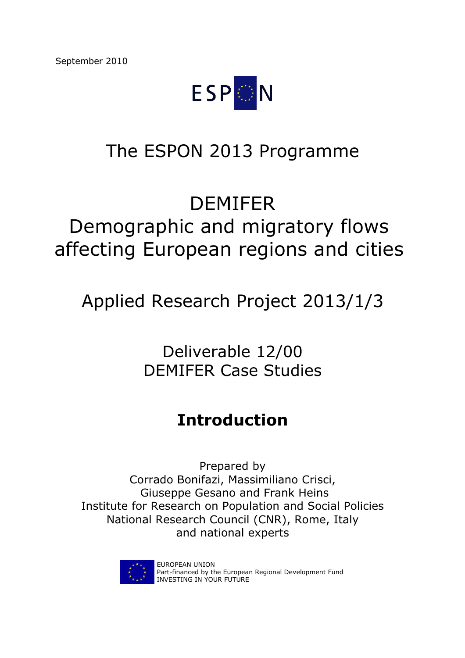

# The ESPON 2013 Programme

# DEMIFER

# Demographic and migratory flows affecting European regions and cities

Applied Research Project 2013/1/3

Deliverable 12/00 DEMIFER Case Studies

## **Introduction**

Prepared by Corrado Bonifazi, Massimiliano Crisci, Giuseppe Gesano and Frank Heins Institute for Research on Population and Social Policies National Research Council (CNR), Rome, Italy and national experts



EUROPEAN UNION Part-financed by the European Regional Development Fund INVESTING IN YOUR FUTURE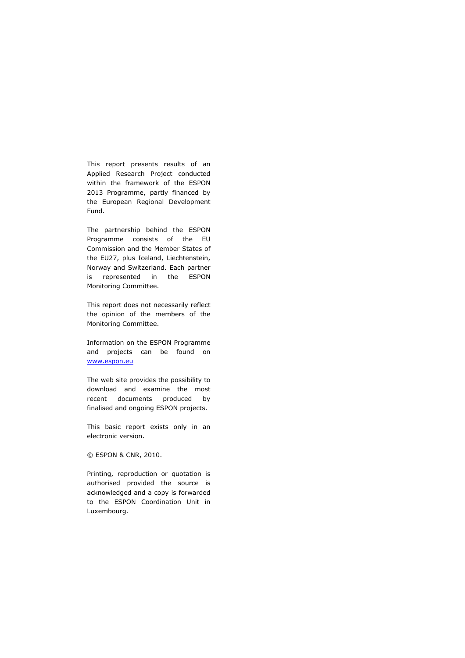This report presents results of an Applied Research Project conducted within the framework of the ESPON 2013 Programme, partly financed by the European Regional Development Fund.

The partnership behind the ESPON Programme consists of the EU Commission and the Member States of the EU27, plus Iceland, Liechtenstein, Norway and Switzerland. Each partner is represented in the ESPON Monitoring Committee.

This report does not necessarily reflect the opinion of the members of the Monitoring Committee.

Information on the ESPON Programme and projects can be found on www.espon.eu

The web site provides the possibility to download and examine the most recent documents produced by finalised and ongoing ESPON projects.

This basic report exists only in an electronic version.

© ESPON & CNR, 2010.

Printing, reproduction or quotation is authorised provided the source is acknowledged and a copy is forwarded to the ESPON Coordination Unit in Luxembourg.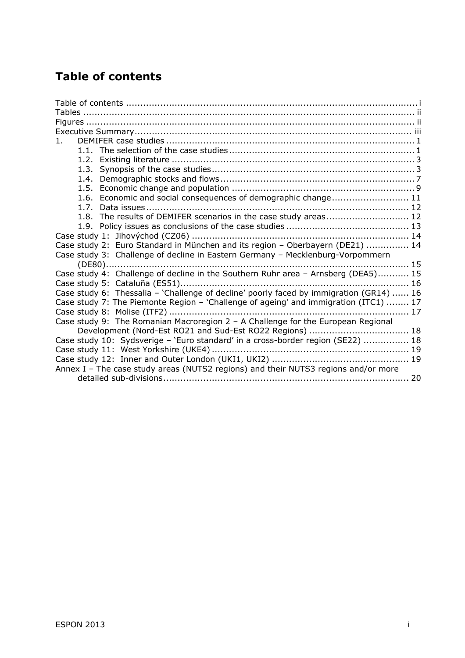## **Table of contents**

| $\mathbf{1}$ .                                                                          |  |
|-----------------------------------------------------------------------------------------|--|
|                                                                                         |  |
|                                                                                         |  |
|                                                                                         |  |
|                                                                                         |  |
|                                                                                         |  |
| 1.6. Economic and social consequences of demographic change 11                          |  |
|                                                                                         |  |
| 1.8. The results of DEMIFER scenarios in the case study areas 12                        |  |
|                                                                                         |  |
|                                                                                         |  |
| Case study 2: Euro Standard in München and its region - Oberbayern (DE21)  14           |  |
| Case study 3: Challenge of decline in Eastern Germany - Mecklenburg-Vorpommern          |  |
|                                                                                         |  |
| Case study 4: Challenge of decline in the Southern Ruhr area - Arnsberg (DEA5) 15       |  |
|                                                                                         |  |
| Case study 6: Thessalia - 'Challenge of decline' poorly faced by immigration (GR14)  16 |  |
| Case study 7: The Piemonte Region - 'Challenge of ageing' and immigration (ITC1)  17    |  |
|                                                                                         |  |
| Case study 9: The Romanian Macroregion 2 - A Challenge for the European Regional        |  |
| Development (Nord-Est RO21 and Sud-Est RO22 Regions)  18                                |  |
| Case study 10: Sydsverige - 'Euro standard' in a cross-border region (SE22)  18         |  |
|                                                                                         |  |
|                                                                                         |  |
| Annex I - The case study areas (NUTS2 regions) and their NUTS3 regions and/or more      |  |
|                                                                                         |  |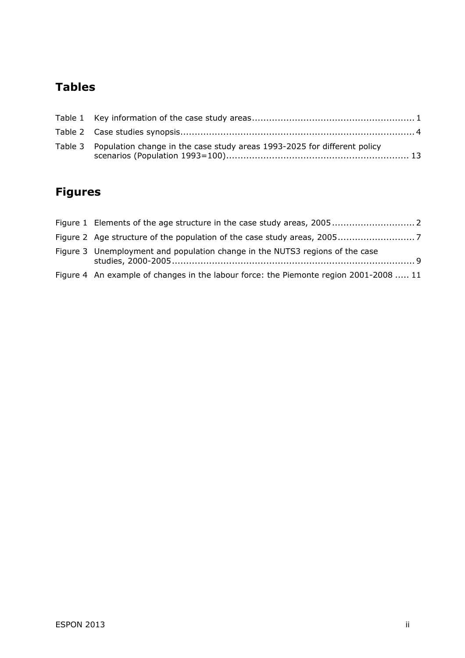## **Tables**

| Table 3 Population change in the case study areas 1993-2025 for different policy |  |
|----------------------------------------------------------------------------------|--|

## **Figures**

| Figure 3 Unemployment and population change in the NUTS3 regions of the case          |
|---------------------------------------------------------------------------------------|
| Figure 4 An example of changes in the labour force: the Piemonte region 2001-2008  11 |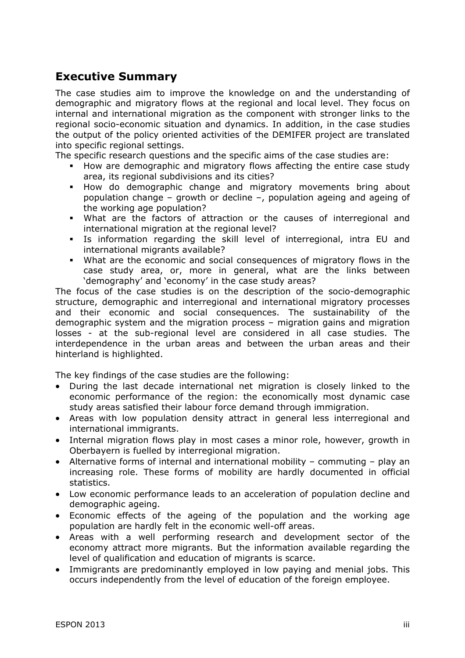## **Executive Summary**

The case studies aim to improve the knowledge on and the understanding of demographic and migratory flows at the regional and local level. They focus on internal and international migration as the component with stronger links to the regional socio-economic situation and dynamics. In addition, in the case studies the output of the policy oriented activities of the DEMIFER project are translated into specific regional settings.

The specific research questions and the specific aims of the case studies are:

- How are demographic and migratory flows affecting the entire case study area, its regional subdivisions and its cities?
- How do demographic change and migratory movements bring about population change – growth or decline –, population ageing and ageing of the working age population?
- What are the factors of attraction or the causes of interregional and international migration at the regional level?
- Is information regarding the skill level of interregional, intra EU and international migrants available?
- What are the economic and social consequences of migratory flows in the case study area, or, more in general, what are the links between 'demography' and 'economy' in the case study areas?

The focus of the case studies is on the description of the socio-demographic structure, demographic and interregional and international migratory processes and their economic and social consequences. The sustainability of the demographic system and the migration process – migration gains and migration losses - at the sub-regional level are considered in all case studies. The interdependence in the urban areas and between the urban areas and their hinterland is highlighted.

The key findings of the case studies are the following:

- During the last decade international net migration is closely linked to the economic performance of the region: the economically most dynamic case study areas satisfied their labour force demand through immigration.
- Areas with low population density attract in general less interregional and international immigrants.
- Internal migration flows play in most cases a minor role, however, growth in Oberbayern is fuelled by interregional migration.
- Alternative forms of internal and international mobility commuting play an increasing role. These forms of mobility are hardly documented in official statistics.
- Low economic performance leads to an acceleration of population decline and demographic ageing.
- Economic effects of the ageing of the population and the working age population are hardly felt in the economic well-off areas.
- Areas with a well performing research and development sector of the economy attract more migrants. But the information available regarding the level of qualification and education of migrants is scarce.
- Immigrants are predominantly employed in low paying and menial jobs. This occurs independently from the level of education of the foreign employee.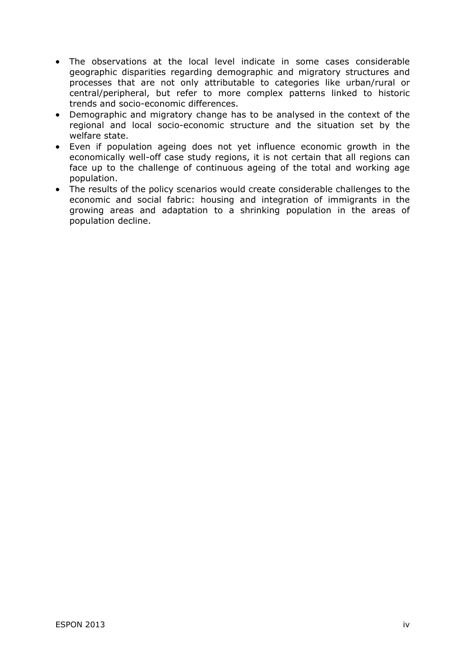- The observations at the local level indicate in some cases considerable geographic disparities regarding demographic and migratory structures and processes that are not only attributable to categories like urban/rural or central/peripheral, but refer to more complex patterns linked to historic trends and socio-economic differences.
- Demographic and migratory change has to be analysed in the context of the regional and local socio-economic structure and the situation set by the welfare state.
- Even if population ageing does not yet influence economic growth in the economically well-off case study regions, it is not certain that all regions can face up to the challenge of continuous ageing of the total and working age population.
- The results of the policy scenarios would create considerable challenges to the economic and social fabric: housing and integration of immigrants in the growing areas and adaptation to a shrinking population in the areas of population decline.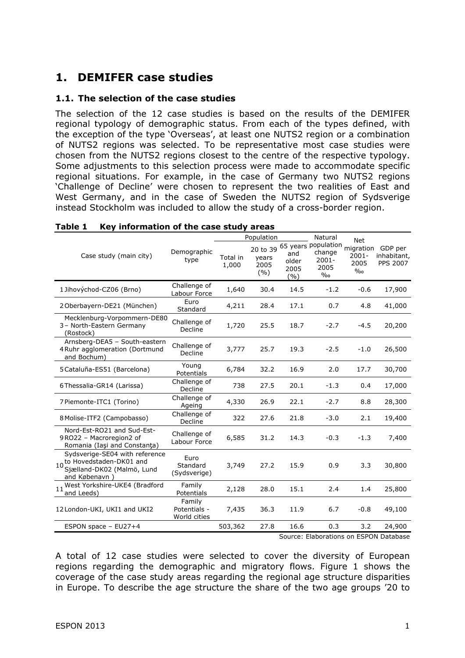### **1. DEMIFER case studies**

#### **1.1. The selection of the case studies**

The selection of the 12 case studies is based on the results of the DEMIFER regional typology of demographic status. From each of the types defined, with the exception of the type 'Overseas', at least one NUTS2 region or a combination of NUTS2 regions was selected. To be representative most case studies were chosen from the NUTS2 regions closest to the centre of the respective typology. Some adjustments to this selection process were made to accommodate specific regional situations. For example, in the case of Germany two NUTS2 regions 'Challenge of Decline' were chosen to represent the two realities of East and West Germany, and in the case of Sweden the NUTS2 region of Sydsverige instead Stockholm was included to allow the study of a cross-border region.

|                                                                                                                      |                                        | Population        |                                  |                               | Natural                                                   | <b>Net</b>                            |                                           |  |
|----------------------------------------------------------------------------------------------------------------------|----------------------------------------|-------------------|----------------------------------|-------------------------------|-----------------------------------------------------------|---------------------------------------|-------------------------------------------|--|
| Case study (main city)                                                                                               | Demographic<br>type                    | Total in<br>1,000 | 20 to 39<br>years<br>2005<br>(%) | and<br>older<br>2005<br>(9/0) | 65 years population<br>change<br>$2001 -$<br>2005<br>$\%$ | migration<br>$2001 -$<br>2005<br>$\%$ | GDP per<br>inhabitant,<br><b>PPS 2007</b> |  |
| 1 Jihovýchod-CZ06 (Brno)                                                                                             | Challenge of<br>Labour Force           | 1,640             | 30.4                             | 14.5                          | $-1.2$                                                    | $-0.6$                                | 17,900                                    |  |
| 2 Oberbayern-DE21 (München)                                                                                          | Euro<br>Standard                       | 4,211             | 28.4                             | 17.1                          | 0.7                                                       | 4.8                                   | 41,000                                    |  |
| Mecklenburg-Vorpommern-DE80<br>3- North-Eastern Germany<br>(Rostock)                                                 | Challenge of<br>Decline                | 1,720             | 25.5                             | 18.7                          | $-2.7$                                                    | $-4.5$                                | 20,200                                    |  |
| Arnsberg-DEA5 - South-eastern<br>4 Ruhr agglomeration (Dortmund<br>and Bochum)                                       | Challenge of<br>Decline                | 3,777             | 25.7                             | 19.3                          | $-2.5$                                                    | $-1.0$                                | 26,500                                    |  |
| 5 Cataluña-ES51 (Barcelona)                                                                                          | Young<br>Potentials                    | 6,784             | 32.2                             | 16.9                          | 2.0                                                       | 17.7                                  | 30,700                                    |  |
| 6 Thessalia-GR14 (Larissa)                                                                                           | Challenge of<br>Decline                | 738               | 27.5                             | 20.1                          | $-1.3$                                                    | 0.4                                   | 17,000                                    |  |
| 7 Piemonte-ITC1 (Torino)                                                                                             | Challenge of<br>Ageing                 | 4,330             | 26.9                             | 22.1                          | $-2.7$                                                    | 8.8                                   | 28,300                                    |  |
| 8 Molise-ITF2 (Campobasso)                                                                                           | Challenge of<br>Decline                | 322               | 27.6                             | 21.8                          | $-3.0$                                                    | 2.1                                   | 19,400                                    |  |
| Nord-Est-RO21 and Sud-Est-<br>9RO22 - Macroregion2 of<br>Romania (Iași and Constanța)                                | Challenge of<br>Labour Force           | 6,585             | 31.2                             | 14.3                          | $-0.3$                                                    | $-1.3$                                | 7,400                                     |  |
| Sydsverige-SE04 with reference<br>10 <sub>c</sub> : wedstaden-DK01 and<br>Sjælland-DK02 (Malmö, Lund<br>and Købenavn | Euro<br>Standard<br>(Sydsverige)       | 3,749             | 27.2                             | 15.9                          | 0.9                                                       | 3.3                                   | 30,800                                    |  |
| 11 West Yorkshire-UKE4 (Bradford<br>and Leeds)                                                                       | Family<br>Potentials                   | 2,128             | 28.0                             | 15.1                          | 2.4                                                       | 1.4                                   | 25,800                                    |  |
| 12 London-UKI, UKI1 and UKI2                                                                                         | Family<br>Potentials -<br>World cities | 7,435             | 36.3                             | 11.9                          | 6.7                                                       | $-0.8$                                | 49,100                                    |  |
| ESPON space - EU27+4                                                                                                 |                                        | 503,362           | 27.8                             | 16.6                          | 0.3                                                       | 3.2                                   | 24,900                                    |  |
|                                                                                                                      |                                        |                   |                                  |                               | Source: Elaborations on ESPON Database                    |                                       |                                           |  |

#### **Table 1 Key information of the case study areas**

Source: Elaborations on ESPON Database

A total of 12 case studies were selected to cover the diversity of European regions regarding the demographic and migratory flows. Figure 1 shows the coverage of the case study areas regarding the regional age structure disparities in Europe. To describe the age structure the share of the two age groups '20 to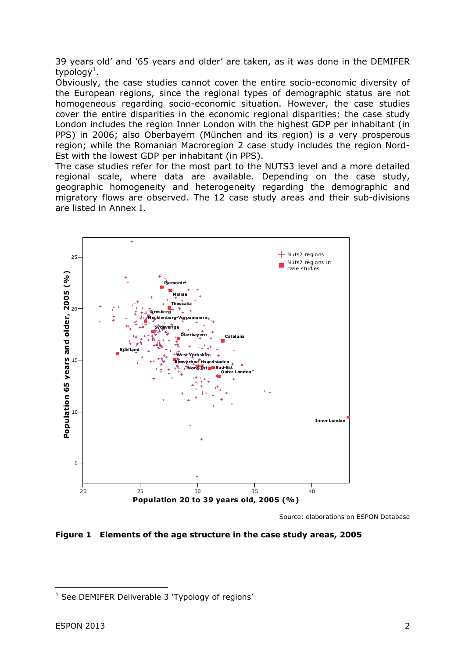39 years old' and '65 years and older' are taken, as it was done in the DEMIFER typology $^1$ .

Obviously, the case studies cannot cover the entire socio-economic diversity of the European regions, since the regional types of demographic status are not homogeneous regarding socio-economic situation. However, the case studies cover the entire disparities in the economic regional disparities: the case study London includes the region Inner London with the highest GDP per inhabitant (in PPS) in 2006; also Oberbayern (München and its region) is a very prosperous region; while the Romanian Macroregion 2 case study includes the region Nord-Est with the lowest GDP per inhabitant (in PPS).

The case studies refer for the most part to the NUTS3 level and a more detailed regional scale, where data are available. Depending on the case study, geographic homogeneity and heterogeneity regarding the demographic and migratory flows are observed. The 12 case study areas and their sub-divisions are listed in Annex I.



Source: elaborations on ESPON Database

**Figure 1 Elements of the age structure in the case study areas, 2005** 

<sup>-</sup><sup>1</sup> See DEMIFER Deliverable 3 'Typology of regions'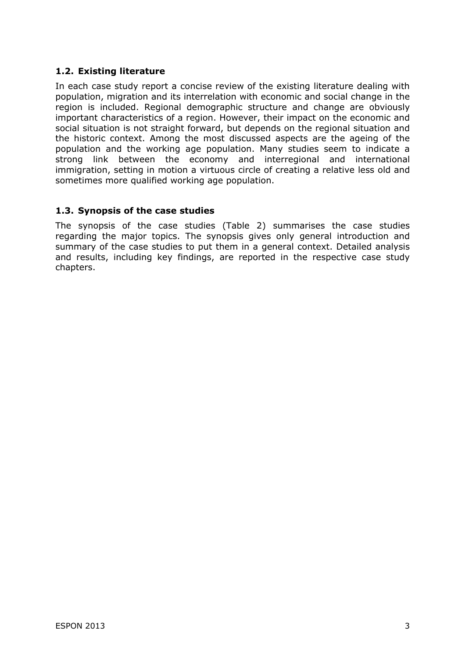#### **1.2. Existing literature**

In each case study report a concise review of the existing literature dealing with population, migration and its interrelation with economic and social change in the region is included. Regional demographic structure and change are obviously important characteristics of a region. However, their impact on the economic and social situation is not straight forward, but depends on the regional situation and the historic context. Among the most discussed aspects are the ageing of the population and the working age population. Many studies seem to indicate a strong link between the economy and interregional and international immigration, setting in motion a virtuous circle of creating a relative less old and sometimes more qualified working age population.

#### **1.3. Synopsis of the case studies**

The synopsis of the case studies (Table 2) summarises the case studies regarding the major topics. The synopsis gives only general introduction and summary of the case studies to put them in a general context. Detailed analysis and results, including key findings, are reported in the respective case study chapters.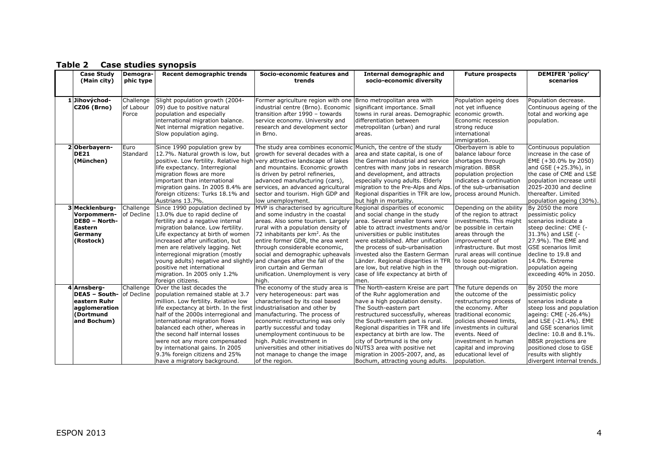| <b>Case Study</b><br>(Main city)                                                               | Demogra-<br>phic type           | <b>Recent demographic trends</b>                                                                                                                                                                                                                                                                                                                                                                                                                                   | Socio-economic features and<br>trends                                                                                                                                                                                                                                                                                                                                                                                                             | <b>Internal demographic and</b><br>socio-economic diversity                                                                                                                                                                                                                                                                                                                                  | <b>Future prospects</b>                                                                                                                                                                                                                                                               | <b>DEMIFER</b> 'policy'<br>scenarios                                                                                                                                                                                                                                                                                |
|------------------------------------------------------------------------------------------------|---------------------------------|--------------------------------------------------------------------------------------------------------------------------------------------------------------------------------------------------------------------------------------------------------------------------------------------------------------------------------------------------------------------------------------------------------------------------------------------------------------------|---------------------------------------------------------------------------------------------------------------------------------------------------------------------------------------------------------------------------------------------------------------------------------------------------------------------------------------------------------------------------------------------------------------------------------------------------|----------------------------------------------------------------------------------------------------------------------------------------------------------------------------------------------------------------------------------------------------------------------------------------------------------------------------------------------------------------------------------------------|---------------------------------------------------------------------------------------------------------------------------------------------------------------------------------------------------------------------------------------------------------------------------------------|---------------------------------------------------------------------------------------------------------------------------------------------------------------------------------------------------------------------------------------------------------------------------------------------------------------------|
| Jihovýchod-<br><b>CZ06 (Brno)</b>                                                              | Challenge<br>of Labour<br>Force | Slight population growth (2004-<br>09) due to positive natural<br>population and especially<br>international migration balance.<br>Net internal migration negative.<br>Slow population aging.                                                                                                                                                                                                                                                                      | Former agriculture region with one Brno metropolitan area with<br>industrial centre (Brno). Economic<br>transition after 1990 - towards<br>service economy. University and<br>research and development sector<br>lin Brno.                                                                                                                                                                                                                        | significant importance. Small<br>towns in rural areas. Demographic<br>differentiation between<br>metropolitan (urban) and rural<br>areas.                                                                                                                                                                                                                                                    | Population ageing does<br>not yet influence<br>economic growth.<br>Economic recession<br>strong reduce<br>international<br>immigration.                                                                                                                                               | Population decrease.<br>Continuous ageing of the<br>total and working age<br>population.                                                                                                                                                                                                                            |
| 2Oberbayern-<br><b>DE21</b><br>(München)                                                       | Euro<br>Standard                | Since 1990 population grew by<br>12.7%. Natural growth is low, but<br>positive. Low fertility. Relative high very attractive landscape of lakes<br>life expectancy. Interregional<br>migration flows are more<br>important than international<br>migration gains. In 2005 8.4% are<br>foreign citizens: Turks 18.1% and<br>Austrians 13.7%.                                                                                                                        | The study area combines economic Munich, the centre of the study<br>growth for several decades with a<br>and mountains. Economic growth<br>is driven by petrol refineries,<br>advanced manufacturing (cars),<br>services, an advanced agricultural<br>sector and tourism. High GDP and<br>low unemployment.                                                                                                                                       | area and state capital, is one of<br>the German industrial and service<br>centres with many jobs in research<br>and development, and attracts<br>especially young adults. Elderly<br>migration to the Pre-Alps and Alps.<br>Regional disparities in TFR are low,<br>but high in mortality.                                                                                                   | Oberbayern is able to<br>balance labour force<br>shortages through<br>migration. BBSR<br>population projection<br>indicates a continuation<br>of the sub-urbanisation<br>process around Munich.                                                                                       | Continuous population<br>increase in the case of<br>EME (+30.0% by 2050)<br>and GSE (+25.3%), in<br>the case of CME and LSE<br>population increase until<br>2025-2030 and decline<br>thereafter. Limited<br>population ageing (30%).                                                                                |
| 3 Mecklenburg-<br>Vorpommern-<br>DE80 - North-<br><b>Eastern</b><br>Germany<br>(Rostock)       | Challenge<br>of Decline         | Since 1990 population declined by<br>13.0% due to rapid decline of<br>fertility and a negative internal<br>migration balance. Low fertility.<br>Life expectancy at birth of women<br>increased after unification, but<br>men are relatively lagging. Net<br>interregional migration (mostly<br>young adults) negative and slightly<br>positive net international<br>migration. In 2005 only 1.2%<br>foreign citizens.                                              | MVP is characterised by agriculture Regional disparities of economic<br>and some industry in the coastal<br>areas. Also some tourism. Largely<br>rural with a population density of<br>72 inhabitants per $km^2$ . As the<br>entire former GDR, the area went<br>through considerable economic,<br>social and demographic upheavals<br>and changes after the fall of the<br>iron curtain and German<br>unification. Unemployment is very<br>high. | and social change in the study<br>larea. Several smaller towns were<br>able to attract investments and/or<br>universities or public institutes<br>were established. After unification<br>the process of sub-urbanisation<br>invested also the Eastern German<br>Länder. Regional disparities in TFR<br>are low, but relative high in the<br>case of life expectancy at birth of<br>men.      | Depending on the ability<br>of the region to attract<br>investments. This might<br>be possible in certain<br>areas through the<br>improvement of<br>infrastructure. But most<br>rural areas will continue<br>to loose population<br>through out-migration.                            | By 2050 the more<br>pessimistic policy<br>scenarios indicate a<br>steep decline: CME (-<br>31.3%) and LSE (-<br>27.9%). The EME and<br><b>IGSE scenarios limit</b><br>decline to 19.8 and<br>14.0%. Extreme<br>population ageing<br>exceeding 40% in 2050.                                                          |
| Arnsberg-<br><b>DEA5 - South-</b><br>eastern Ruhr<br>agglomeration<br>(Dortmund<br>and Bochum) | Challenge<br>of Decline         | Over the last decades the<br>population remained stable at 3.7<br>million. Low fertility. Relative low<br>life expectancy at birth. In the first industrialisation and other by<br>half of the 2000s interregional and<br>international migration flows<br>balanced each other, whereas in<br>the second half internal losses<br>were not any more compensated<br>by international gains. In 2005<br>9.3% foreign citizens and 25%<br>have a migratory background. | The economy of the study area is<br>very heterogeneous: part was<br>characterised by its coal based<br>manufacturing. The process of<br>economic restructuring was only<br>partly successful and today<br>unemployment continuous to be<br>high. Public investment in<br>universities and other initiatives do NUTS3 area with positive net<br>not manage to change the image<br>of the region.                                                   | The North-eastern Kreise are part<br>of the Ruhr agglomeration and<br>have a high population density.<br>The South-eastern part<br>restructured successfully, whereas<br>the South-western part is rural.<br>Regional disparities in TFR and life<br>expectancy at birth are low. The<br>city of Dortmund is the only<br>migration in 2005-2007, and, as<br>Bochum, attracting young adults. | The future depends on<br>the outcome of the<br>restructuring process of<br>the economy. After<br>traditional economic<br>policies showed limits,<br>investments in cultural<br>events. Need of<br>investment in human<br>capital and improving<br>educational level of<br>population. | By 2050 the more<br>pessimistic policy<br>scenarios indicate a<br>steep loss and population<br>ageing: CME (-26.4%)<br>and LSE (-21.4%). EME<br>and GSE scenarios limit<br>decline: 10.8 and 8.1%.<br><b>BBSR</b> projections are<br>positioned close to GSE<br>results with slightly<br>divergent internal trends. |

#### **Table 2 Case studies synopsis**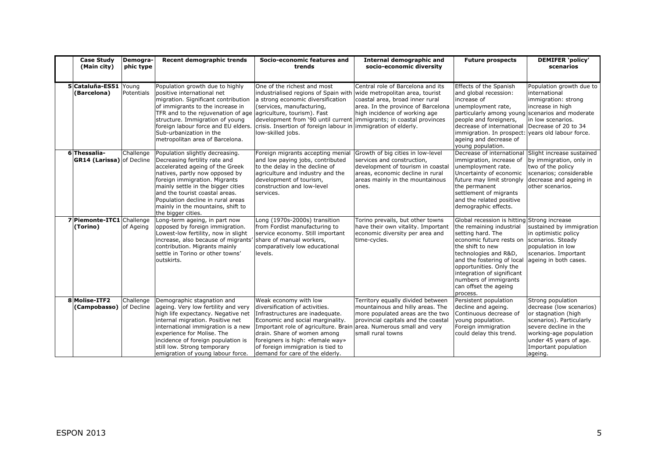| <b>Case Study</b><br>(Main city)                | Demogra-<br>phic type | Recent demographic trends                                                                                                                                                                                                                                                                                                                          | Socio-economic features and<br>trends                                                                                                                                                                                                                                                                             | <b>Internal demographic and</b><br>socio-economic diversity                                                                                                                                            | <b>Future prospects</b>                                                                                                                                                                                                                                                                                                    | <b>DEMIFER</b> 'policy'<br>scenarios                                                                                                                                                                             |
|-------------------------------------------------|-----------------------|----------------------------------------------------------------------------------------------------------------------------------------------------------------------------------------------------------------------------------------------------------------------------------------------------------------------------------------------------|-------------------------------------------------------------------------------------------------------------------------------------------------------------------------------------------------------------------------------------------------------------------------------------------------------------------|--------------------------------------------------------------------------------------------------------------------------------------------------------------------------------------------------------|----------------------------------------------------------------------------------------------------------------------------------------------------------------------------------------------------------------------------------------------------------------------------------------------------------------------------|------------------------------------------------------------------------------------------------------------------------------------------------------------------------------------------------------------------|
| 5 Cataluña-ES51 Young<br>(Barcelona)            | Potentials            | Population growth due to highly<br>positive international net<br>migration. Significant contribution<br>of immigrants to the increase in<br>TFR and to the rejuvenation of age agriculture, tourism). Fast<br>structure. Immigration of young<br>foreign labour force and EU elders.<br>Sub-urbanization in the<br>metropolitan area of Barcelona. | One of the richest and most<br>industrialised regions of Spain with<br>a strong economic diversification<br>(services, manufacturing,<br>development from '90 until current immigrants; in coastal provinces<br>crisis. Insertion of foreign labour in immigration of elderly.<br>low-skilled jobs.               | Central role of Barcelona and its<br>wide metropolitan area, tourist<br>coastal area, broad inner rural<br>area. In the province of Barcelona<br>high incidence of working age                         | Effects of the Spanish<br>and global recession:<br>increase of<br>unemployment rate,<br>particularly among young scenarios and moderate<br>people and foreigners,<br>decrease of international<br>immigration. In prospect: years old labour force.<br>ageing and decrease of<br>young population.                         | Population growth due to<br>international<br>immigration: strong<br>increase in high<br>in low scenarios.<br>Decrease of 20 to 34                                                                                |
| 6Thessalia-<br><b>GR14 (Larissa)</b> of Decline | Challenge             | Population slightly decreasing.<br>Decreasing fertility rate and<br>accelerated ageing of the Greek<br>natives, partly now opposed by<br>foreign immigration. Migrants<br>mainly settle in the bigger cities<br>and the tourist coastal areas.<br>Population decline in rural areas<br>mainly in the mountains, shift to<br>the bigger cities.     | Foreign migrants accepting menial<br>and low paying jobs, contributed<br>to the delay in the decline of<br>agriculture and industry and the<br>development of tourism,<br>construction and low-level<br>services.                                                                                                 | Growth of big cities in low-level<br>services and construction,<br>development of tourism in coastal<br>areas, economic decline in rural<br>areas mainly in the mountainous<br>ones.                   | Decrease of international<br>immigration, increase of<br>unemployment rate.<br>Uncertainty of economic<br>future may limit strongly<br>the permanent<br>settlement of migrants<br>and the related positive<br>demographic effects.                                                                                         | Slight increase sustained<br>by immigration, only in<br>two of the policy<br>scenarios; considerable<br>decrease and ageing in<br>other scenarios.                                                               |
| 7 Piemonte-ITC1 Challenge<br>(Torino)           | of Ageing             | Long-term ageing, in part now<br>opposed by foreign immigration.<br>Lowest-low fertility, now in slight<br>increase, also because of migrants'<br>contribution. Migrants mainly<br>settle in Torino or other towns'<br>outskirts.                                                                                                                  | Long (1970s-2000s) transition<br>from Fordist manufacturing to<br>service economy. Still important<br>share of manual workers,<br>comparatively low educational<br>levels.                                                                                                                                        | Torino prevails, but other towns<br>have their own vitality. Important<br>economic diversity per area and<br>time-cycles.                                                                              | Global recession is hitting Strong increase<br>the remaining industrial<br>setting hard. The<br>economic future rests on<br>the shift to new<br>technologies and R&D,<br>and the fostering of local<br>opportunities. Only the<br>integration of significant<br>numbers of immigrants<br>can offset the ageing<br>process. | sustained by immigration<br>in optimistic policy<br>scenarios. Steady<br>population in low<br>scenarios. Important<br>ageing in both cases.                                                                      |
| 8 Molise-ITF2<br><b>(Campobasso)</b> of Decline | Challenge             | Demographic stagnation and<br>ageing. Very low fertility and very<br>high life expectancy. Negative net<br>internal migration. Positive net<br>international immigration is a new<br>experience for Molise. The<br>incidence of foreign population is<br>still low. Strong temporary<br>emigration of young labour force.                          | Weak economy with low<br>diversification of activities.<br>Infrastructures are inadequate.<br>Economic and social marginality.<br>Important role of agriculture. Brain<br>drain. Share of women among<br>foreigners is high: «female way»<br>of foreign immigration is tied to<br>demand for care of the elderly. | Territory equally divided between<br>mountainous and hilly areas. The<br>more populated areas are the two<br>provincial capitals and the coastal<br>area. Numerous small and very<br>small rural towns | Persistent population<br>decline and ageing.<br>Continuous decrease of<br>young population.<br>Foreign immigration<br>could delay this trend.                                                                                                                                                                              | Strong population<br>decrease (low scenarios)<br>or stagnation (high<br>scenarios). Particularly<br>severe decline in the<br>working-age population<br>under 45 years of age.<br>Important population<br>ageing. |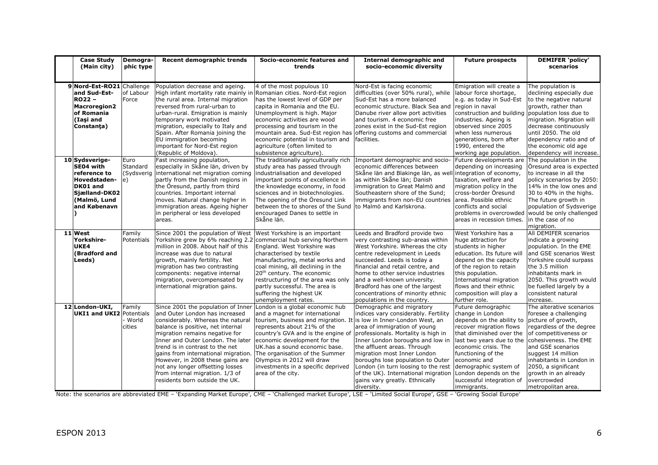| <b>Case Study</b><br>(Main city)                                                                                         | Demogra-<br>phic type           | Recent demographic trends                                                                                                                                                                                                                                                                                                                                                                                                                    | Socio-economic features and<br>trends                                                                                                                                                                                                                                                                                                                                                                     | <b>Internal demographic and</b><br>socio-economic diversity                                                                                                                                                                                                                                                                                                                                                   | <b>Future prospects</b>                                                                                                                                                                                                                                                                                             | <b>DEMIFER 'policy'</b><br>scenarios                                                                                                                                                                                                                                                                             |
|--------------------------------------------------------------------------------------------------------------------------|---------------------------------|----------------------------------------------------------------------------------------------------------------------------------------------------------------------------------------------------------------------------------------------------------------------------------------------------------------------------------------------------------------------------------------------------------------------------------------------|-----------------------------------------------------------------------------------------------------------------------------------------------------------------------------------------------------------------------------------------------------------------------------------------------------------------------------------------------------------------------------------------------------------|---------------------------------------------------------------------------------------------------------------------------------------------------------------------------------------------------------------------------------------------------------------------------------------------------------------------------------------------------------------------------------------------------------------|---------------------------------------------------------------------------------------------------------------------------------------------------------------------------------------------------------------------------------------------------------------------------------------------------------------------|------------------------------------------------------------------------------------------------------------------------------------------------------------------------------------------------------------------------------------------------------------------------------------------------------------------|
|                                                                                                                          |                                 |                                                                                                                                                                                                                                                                                                                                                                                                                                              |                                                                                                                                                                                                                                                                                                                                                                                                           |                                                                                                                                                                                                                                                                                                                                                                                                               |                                                                                                                                                                                                                                                                                                                     |                                                                                                                                                                                                                                                                                                                  |
| 9 Nord-Est-RO21<br>and Sud-Est-<br><b>RO22 -</b><br><b>Macroregion2</b><br>of Romania<br>(Iasi and<br>Constanța)         | Challenge<br>of Labour<br>Force | Population decrease and ageing.<br>High infant mortality rate mainly in Romanian cities. Nord-Est region<br>the rural area. Internal migration<br>reversed from rural-urban to<br>urban-rural. Emigration is mainly<br>temporary work motivated<br>migration, especially to Italy and<br>Spain. After Romania joining the<br>EU immigration becoming<br>important for Nord-Est region<br>(Republic of Moldova).                              | 4 of the most populous 10<br>has the lowest level of GDP per<br>capita in Romania and the EU.<br>Unemployment is high. Major<br>economic activities are wood<br>processing and tourism in the<br>mountain area. Sud-Est region has offering customs and commercial<br>economic potential in tourism and<br>agriculture (often limited to<br>subsistence agriculture).                                     | Nord-Est is facing economic<br>difficulties (over 50% rural), while<br>Sud-Est has a more balanced<br>economic structure. Black Sea and<br>Danube river allow port activities<br>and tourism. 4 economic free<br>zones exist in the Sud-Est region<br>facilities.                                                                                                                                             | Emigration will create a<br>labour force shortage,<br>e.g. as today in Sud-Est<br>region in naval<br>construction and building<br>industries. Ageing is<br>observed since 2005<br>when less numerous<br>generations, born after<br>1990, entered the<br>working age population.                                     | The population is<br>declining especially due<br>to the negative natural<br>growth, rather than<br>population loss due to<br>migration. Migration will<br>decrease continuously<br>until 2050. The old<br>dependency ratio and of<br>the economic old age<br>dependency will increase.                           |
| 10 Sydsverige-<br>SE04 with<br>reference to<br>Hovedstaden-<br>DK01 and<br>Sjælland-DK02<br>(Malmö, Lund<br>and Købenavn | Euro<br>Standard<br>e)          | Fast increasing population,<br>especially in Skåne län, driven by<br>(Sydsverig international net migration coming<br>partly from the Danish regions in<br>the Öresund, partly from third<br>countries. Important internal<br>moves. Natural change higher in<br>immigration areas. Ageing higher<br>in peripheral or less developed<br>areas.                                                                                               | The traditionally agriculturally rich<br>study area has passed through<br>industrialisation and developed<br>important points of excellence in<br>the knowledge economy, in food<br>sciences and in biotechnologies.<br>The opening of the Öresund Link<br>between the to shores of the Sund to Malmö and Karlskrona.<br>encouraged Danes to settle in<br>Skåne län.                                      | Important demographic and socio-<br>economic differences between<br>Skåne län and Blakinge län, as wel<br>as within Skåne län; Danish<br>immigration to Great Malmö and<br>Southeastern shore of the Sund;<br>immigrants from non-EU countries                                                                                                                                                                | Future developments are<br>depending on increasing<br>integration of economy,<br>taxation, welfare and<br>migration policy in the<br>cross-border Öresund<br>area. Possible ethnic<br>conflicts and social<br>problems in overcrowded<br>areas in recession times.                                                  | The population in the<br>Öresund area is expected<br>to increase in all the<br>policy scenarios by 2050:<br>14% in the low ones and<br>30 to 40% in the highs.<br>The future growth in<br>population of Sydsverige<br>would be only challenged<br>in the case of no<br>migration.                                |
| 11 West<br>Yorkshire-<br>UKE4<br>(Bradford and<br>Leeds)                                                                 | Family<br>Potentials            | Since 2001 the population of West<br>Yorkshire grew by 6% reaching 2.2<br>million in 2008. About half of this<br>increase was due to natural<br>growth, mainly fertility. Net<br>migration has two contrasting<br>components: negative internal<br>migration, overcompensated by<br>international migration gains.                                                                                                                           | West Yorkshire is an important<br>commercial hub serving Northern<br>England. West Yorkshire was<br>characterised by textile<br>manufacturing, metal works and<br>coal mining, all declining in the<br>20 <sup>th</sup> century. The economic<br>restructuring of the area was only<br>partly successful. The area is<br>suffering the highest UK<br>unemployment rates.                                  | Leeds and Bradford provide two<br>very contrasting sub-areas within<br>West Yorkshire. Whereas the city<br>centre redevelopment in Leeds<br>succeeded. Leeds is today a<br>financial and retail centre, and<br>home to other service industries<br>and a well-known university.<br>Bradford has one of the largest<br>concentrations of minority ethnic<br>populations in the country.                        | West Yorkshire has a<br>huge attraction for<br>students in higher<br>education. Its future will<br>depend on the capacity<br>of the region to retain<br>this population.<br>International migration<br>flows and their ethnic<br>composition will play a<br>further role.                                           | All DEMIFER scenarios<br>indicate a growing<br>population. In the EME<br>and GSE scenarios West<br>Yorkshire could surpass<br>the 3.5 million<br>inhabitants mark in<br>2050. This growth would<br>be fuelled largely by a<br>consistent natural<br>increase.                                                    |
| 12 London-UKI,<br><b>UKI1 and UKI2 Potentials</b>                                                                        | Family<br>World<br>cities       | Since 2001 the population of Inner<br>and Outer London has increased<br>considerably. Whereas the natural<br>balance is positive, net internal<br>migration remains negative for<br>Inner and Outer London. The later<br>trend is in contrast to the net<br>gains from international migration.<br>However, in 2008 these gains are<br>not any longer offsetting losses<br>from internal migration. 1/3 of<br>residents born outside the UK. | London is a global economic hub<br>and a magnet for international<br>tourism, business and migration. It is low in Inner-London West, an<br>represents about 21% of the<br>country's GVA and is the engine of<br>economic development for the<br>UK.has a sound economic base.<br>The organisation of the Summer<br>Olympics in 2012 will draw<br>investments in a specific deprived<br>area of the city. | Demographic and migratory<br>indices vary considerably. Fertility<br>area of immigration of young<br>professionals. Mortality is high in<br>Inner London boroughs and low in<br>the affluent areas. Through<br>migration most Inner London<br>boroughs lose population to Outer<br>London (in turn loosing to the rest<br>of the UK). International migration<br>gains vary greatly. Ethnically<br>diversity. | Future demographic<br>change in London<br>depends on the ability to<br>recover migration flows<br>that diminished over the<br>last two years due to the<br>economic crisis. The<br>functioning of the<br>economic and<br>demographic system of<br>London depends on the<br>successful integration of<br>immigrants. | The alterative scenarios<br>foresee a challenging<br>picture of growth,<br>regardless of the degree<br>of competitiveness or<br>cohesiveness. The EME<br>and GSE scenarios<br>suggest 14 million<br>inhabitants in London in<br>2050, a significant<br>growth in an already<br>overcrowded<br>metropolitan area. |

Note: the scenarios are abbreviated EME – 'Expanding Market Europe', CME – 'Challenged market Europe', LSE – 'Limited Social Europe', GSE – 'Growing Social Europe'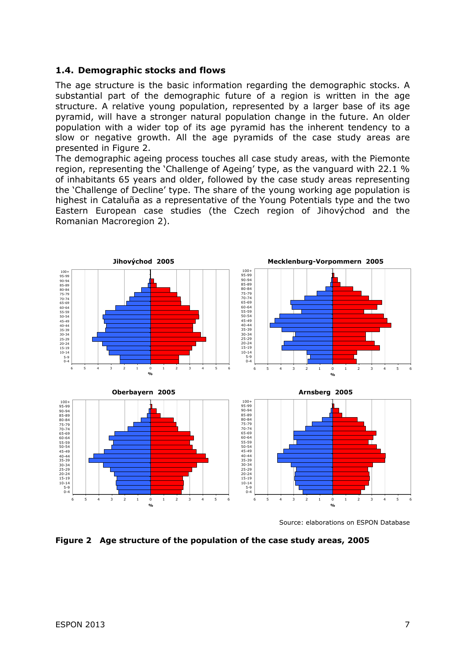#### **1.4. Demographic stocks and flows**

The age structure is the basic information regarding the demographic stocks. A substantial part of the demographic future of a region is written in the age structure. A relative young population, represented by a larger base of its age pyramid, will have a stronger natural population change in the future. An older population with a wider top of its age pyramid has the inherent tendency to a slow or negative growth. All the age pyramids of the case study areas are presented in Figure 2.

The demographic ageing process touches all case study areas, with the Piemonte region, representing the 'Challenge of Ageing' type, as the vanguard with 22.1 % of inhabitants 65 years and older, followed by the case study areas representing the 'Challenge of Decline' type. The share of the young working age population is highest in Cataluña as a representative of the Young Potentials type and the two Eastern European case studies (the Czech region of Jihovýchod and the Romanian Macroregion 2).



Source: elaborations on ESPON Database

**Figure 2 Age structure of the population of the case study areas, 2005**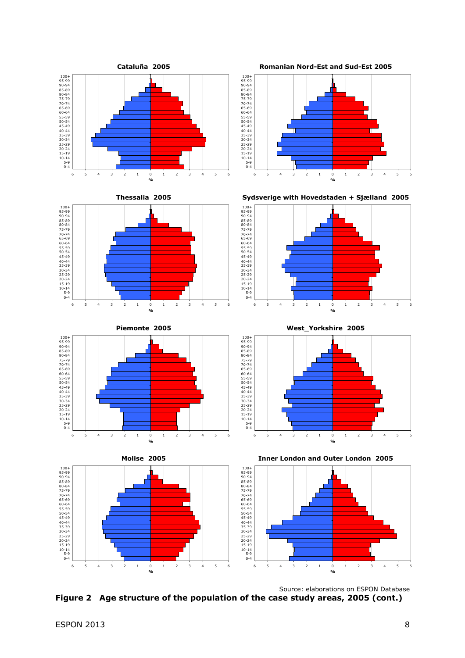

 Source: elaborations on ESPON Database **Figure 2 Age structure of the population of the case study areas, 2005 (cont.)**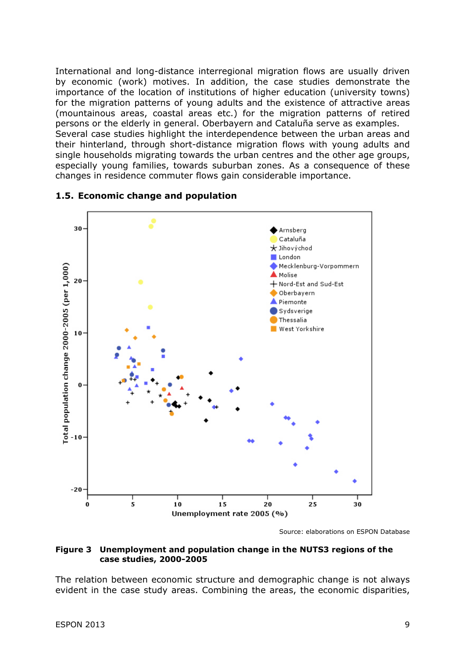International and long-distance interregional migration flows are usually driven by economic (work) motives. In addition, the case studies demonstrate the importance of the location of institutions of higher education (university towns) for the migration patterns of young adults and the existence of attractive areas (mountainous areas, coastal areas etc.) for the migration patterns of retired persons or the elderly in general. Oberbayern and Cataluña serve as examples. Several case studies highlight the interdependence between the urban areas and their hinterland, through short-distance migration flows with young adults and single households migrating towards the urban centres and the other age groups, especially young families, towards suburban zones. As a consequence of these changes in residence commuter flows gain considerable importance.



#### **1.5. Economic change and population**

Source: elaborations on ESPON Database

#### **Figure 3 Unemployment and population change in the NUTS3 regions of the case studies, 2000-2005**

The relation between economic structure and demographic change is not always evident in the case study areas. Combining the areas, the economic disparities,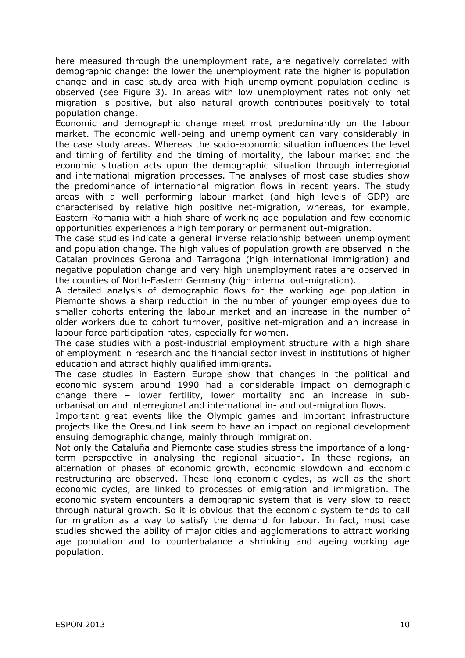here measured through the unemployment rate, are negatively correlated with demographic change: the lower the unemployment rate the higher is population change and in case study area with high unemployment population decline is observed (see Figure 3). In areas with low unemployment rates not only net migration is positive, but also natural growth contributes positively to total population change.

Economic and demographic change meet most predominantly on the labour market. The economic well-being and unemployment can vary considerably in the case study areas. Whereas the socio-economic situation influences the level and timing of fertility and the timing of mortality, the labour market and the economic situation acts upon the demographic situation through interregional and international migration processes. The analyses of most case studies show the predominance of international migration flows in recent years. The study areas with a well performing labour market (and high levels of GDP) are characterised by relative high positive net-migration, whereas, for example, Eastern Romania with a high share of working age population and few economic opportunities experiences a high temporary or permanent out-migration.

The case studies indicate a general inverse relationship between unemployment and population change. The high values of population growth are observed in the Catalan provinces Gerona and Tarragona (high international immigration) and negative population change and very high unemployment rates are observed in the counties of North-Eastern Germany (high internal out-migration).

A detailed analysis of demographic flows for the working age population in Piemonte shows a sharp reduction in the number of younger employees due to smaller cohorts entering the labour market and an increase in the number of older workers due to cohort turnover, positive net-migration and an increase in labour force participation rates, especially for women.

The case studies with a post-industrial employment structure with a high share of employment in research and the financial sector invest in institutions of higher education and attract highly qualified immigrants.

The case studies in Eastern Europe show that changes in the political and economic system around 1990 had a considerable impact on demographic change there – lower fertility, lower mortality and an increase in suburbanisation and interregional and international in- and out-migration flows.

Important great events like the Olympic games and important infrastructure projects like the Öresund Link seem to have an impact on regional development ensuing demographic change, mainly through immigration.

Not only the Cataluña and Piemonte case studies stress the importance of a longterm perspective in analysing the regional situation. In these regions, an alternation of phases of economic growth, economic slowdown and economic restructuring are observed. These long economic cycles, as well as the short economic cycles, are linked to processes of emigration and immigration. The economic system encounters a demographic system that is very slow to react through natural growth. So it is obvious that the economic system tends to call for migration as a way to satisfy the demand for labour. In fact, most case studies showed the ability of major cities and agglomerations to attract working age population and to counterbalance a shrinking and ageing working age population.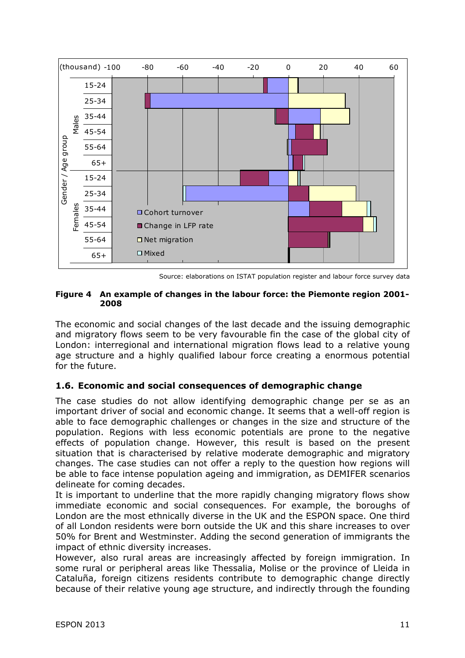

Source: elaborations on ISTAT population register and labour force survey data

#### **Figure 4 An example of changes in the labour force: the Piemonte region 2001- 2008**

The economic and social changes of the last decade and the issuing demographic and migratory flows seem to be very favourable fin the case of the global city of London: interregional and international migration flows lead to a relative young age structure and a highly qualified labour force creating a enormous potential for the future.

#### **1.6. Economic and social consequences of demographic change**

The case studies do not allow identifying demographic change per se as an important driver of social and economic change. It seems that a well-off region is able to face demographic challenges or changes in the size and structure of the population. Regions with less economic potentials are prone to the negative effects of population change. However, this result is based on the present situation that is characterised by relative moderate demographic and migratory changes. The case studies can not offer a reply to the question how regions will be able to face intense population ageing and immigration, as DEMIFER scenarios delineate for coming decades.

It is important to underline that the more rapidly changing migratory flows show immediate economic and social consequences. For example, the boroughs of London are the most ethnically diverse in the UK and the ESPON space. One third of all London residents were born outside the UK and this share increases to over 50% for Brent and Westminster. Adding the second generation of immigrants the impact of ethnic diversity increases.

However, also rural areas are increasingly affected by foreign immigration. In some rural or peripheral areas like Thessalia, Molise or the province of Lleida in Cataluña, foreign citizens residents contribute to demographic change directly because of their relative young age structure, and indirectly through the founding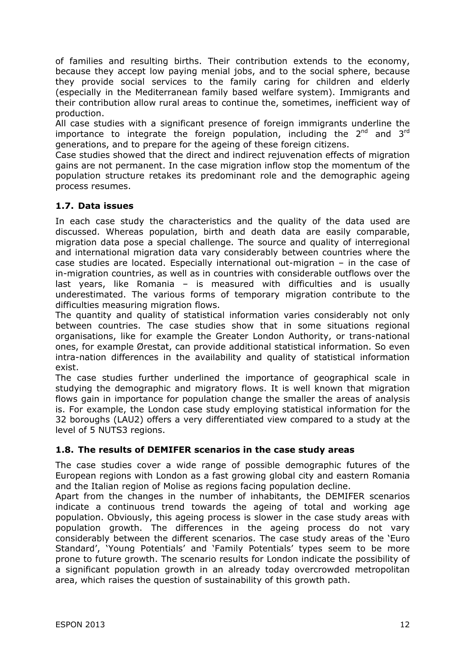of families and resulting births. Their contribution extends to the economy, because they accept low paying menial jobs, and to the social sphere, because they provide social services to the family caring for children and elderly (especially in the Mediterranean family based welfare system). Immigrants and their contribution allow rural areas to continue the, sometimes, inefficient way of production.

All case studies with a significant presence of foreign immigrants underline the importance to integrate the foreign population, including the  $2^{nd}$  and  $3^{rd}$ generations, and to prepare for the ageing of these foreign citizens.

Case studies showed that the direct and indirect rejuvenation effects of migration gains are not permanent. In the case migration inflow stop the momentum of the population structure retakes its predominant role and the demographic ageing process resumes.

#### **1.7. Data issues**

In each case study the characteristics and the quality of the data used are discussed. Whereas population, birth and death data are easily comparable, migration data pose a special challenge. The source and quality of interregional and international migration data vary considerably between countries where the case studies are located. Especially international out-migration – in the case of in-migration countries, as well as in countries with considerable outflows over the last years, like Romania – is measured with difficulties and is usually underestimated. The various forms of temporary migration contribute to the difficulties measuring migration flows.

The quantity and quality of statistical information varies considerably not only between countries. The case studies show that in some situations regional organisations, like for example the Greater London Authority, or trans-national ones, for example Ørestat, can provide additional statistical information. So even intra-nation differences in the availability and quality of statistical information exist.

The case studies further underlined the importance of geographical scale in studying the demographic and migratory flows. It is well known that migration flows gain in importance for population change the smaller the areas of analysis is. For example, the London case study employing statistical information for the 32 boroughs (LAU2) offers a very differentiated view compared to a study at the level of 5 NUTS3 regions.

#### **1.8. The results of DEMIFER scenarios in the case study areas**

The case studies cover a wide range of possible demographic futures of the European regions with London as a fast growing global city and eastern Romania and the Italian region of Molise as regions facing population decline.

Apart from the changes in the number of inhabitants, the DEMIFER scenarios indicate a continuous trend towards the ageing of total and working age population. Obviously, this ageing process is slower in the case study areas with population growth. The differences in the ageing process do not vary considerably between the different scenarios. The case study areas of the 'Euro Standard', 'Young Potentials' and 'Family Potentials' types seem to be more prone to future growth. The scenario results for London indicate the possibility of a significant population growth in an already today overcrowded metropolitan area, which raises the question of sustainability of this growth path.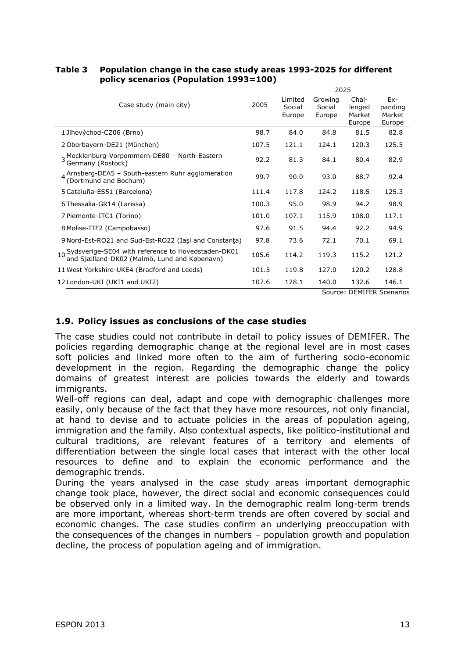|                                                                                                       |       | 2025                        |                             |                                     |                                      |  |
|-------------------------------------------------------------------------------------------------------|-------|-----------------------------|-----------------------------|-------------------------------------|--------------------------------------|--|
| Case study (main city)                                                                                | 2005  | Limited<br>Social<br>Europe | Growing<br>Social<br>Europe | Chal-<br>lenged<br>Market<br>Europe | $Ex-$<br>panding<br>Market<br>Europe |  |
| 1 Jihovýchod-CZ06 (Brno)                                                                              | 98.7  | 84.0                        | 84.8                        | 81.5                                | 82.8                                 |  |
| 2 Oberbayern-DE21 (München)                                                                           | 107.5 | 121.1                       | 124.1                       | 120.3                               | 125.5                                |  |
| 3 Mecklenburg-Vorpommern-DE80 - North-Eastern<br>Germany (Rostock)                                    | 92.2  | 81.3                        | 84.1                        | 80.4                                | 82.9                                 |  |
| $4$ Arnsberg-DEA5 - South-eastern Ruhr agglomeration<br>(Dortmund and Bochum)                         | 99.7  | 90.0                        | 93.0                        | 88.7                                | 92.4                                 |  |
| 5 Cataluña-ES51 (Barcelona)                                                                           | 111.4 | 117.8                       | 124.2                       | 118.5                               | 125.3                                |  |
| 6 Thessalia-GR14 (Larissa)                                                                            | 100.3 | 95.0                        | 98.9                        | 94.2                                | 98.9                                 |  |
| 7 Piemonte-ITC1 (Torino)                                                                              | 101.0 | 107.1                       | 115.9                       | 108.0                               | 117.1                                |  |
| 8 Molise-ITF2 (Campobasso)                                                                            | 97.6  | 91.5                        | 94.4                        | 92.2                                | 94.9                                 |  |
| 9 Nord-Est-RO21 and Sud-Est-RO22 (Iași and Constanța)                                                 | 97.8  | 73.6                        | 72.1                        | 70.1                                | 69.1                                 |  |
| 10 Sydsverige-SE04 with reference to Hovedstaden-DK01<br>and Sjælland-DK02 (Malmö, Lund and Købenavn) | 105.6 | 114.2                       | 119.3                       | 115.2                               | 121.2                                |  |
| 11 West Yorkshire-UKE4 (Bradford and Leeds)                                                           | 101.5 | 119.8                       | 127.0                       | 120.2                               | 128.8                                |  |
| 12 London-UKI (UKI1 and UKI2)                                                                         | 107.6 | 128.1                       | 140.0                       | 132.6                               | 146.1                                |  |
|                                                                                                       |       |                             |                             | Course: DEMIEED Cooperin            |                                      |  |

#### **Table 3 Population change in the case study areas 1993-2025 for different policy scenarios (Population 1993=100)**

Source: DEMIFER Scenarios

#### **1.9. Policy issues as conclusions of the case studies**

The case studies could not contribute in detail to policy issues of DEMIFER. The policies regarding demographic change at the regional level are in most cases soft policies and linked more often to the aim of furthering socio-economic development in the region. Regarding the demographic change the policy domains of greatest interest are policies towards the elderly and towards immigrants.

Well-off regions can deal, adapt and cope with demographic challenges more easily, only because of the fact that they have more resources, not only financial, at hand to devise and to actuate policies in the areas of population ageing, immigration and the family. Also contextual aspects, like politico-institutional and cultural traditions, are relevant features of a territory and elements of differentiation between the single local cases that interact with the other local resources to define and to explain the economic performance and the demographic trends.

During the years analysed in the case study areas important demographic change took place, however, the direct social and economic consequences could be observed only in a limited way. In the demographic realm long-term trends are more important, whereas short-term trends are often covered by social and economic changes. The case studies confirm an underlying preoccupation with the consequences of the changes in numbers – population growth and population decline, the process of population ageing and of immigration.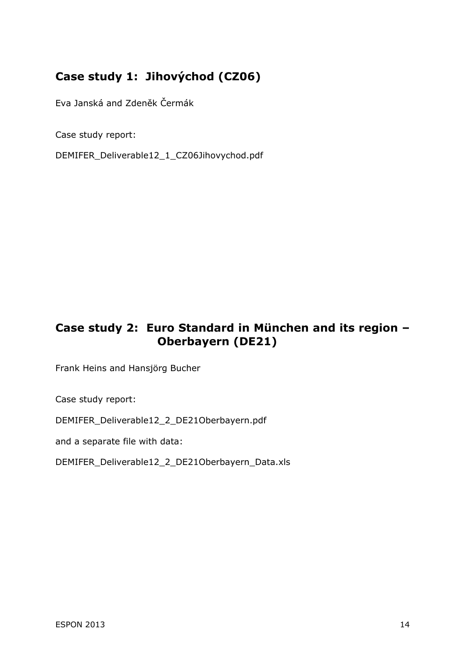## **Case study 1: Jihovýchod (CZ06)**

Eva Janská and Zdeněk Čermák

Case study report:

DEMIFER\_Deliverable12\_1\_CZ06Jihovychod.pdf

## **Case study 2: Euro Standard in München and its region – Oberbayern (DE21)**

Frank Heins and Hansjörg Bucher

Case study report:

DEMIFER\_Deliverable12\_2\_DE21Oberbayern.pdf

and a separate file with data:

DEMIFER\_Deliverable12\_2\_DE21Oberbayern\_Data.xls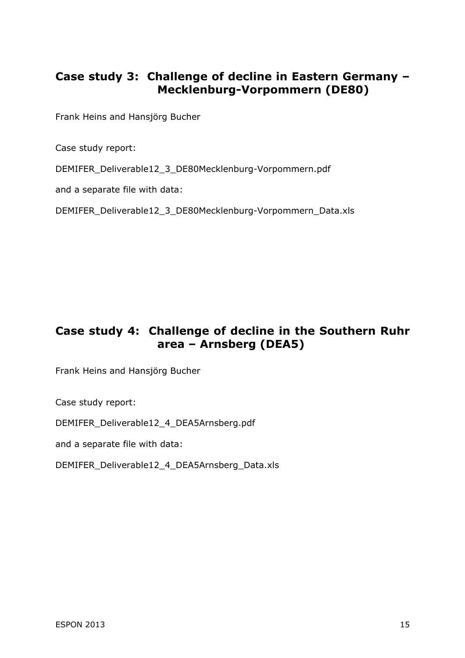## **Case study 3: Challenge of decline in Eastern Germany – Mecklenburg-Vorpommern (DE80)**

Frank Heins and Hansjörg Bucher

Case study report:

DEMIFER\_Deliverable12\_3\_DE80Mecklenburg-Vorpommern.pdf

and a separate file with data:

DEMIFER\_Deliverable12\_3\_DE80Mecklenburg-Vorpommern\_Data.xls

## **Case study 4: Challenge of decline in the Southern Ruhr area – Arnsberg (DEA5)**

Frank Heins and Hansjörg Bucher

Case study report:

DEMIFER\_Deliverable12\_4\_DEA5Arnsberg.pdf

and a separate file with data:

DEMIFER\_Deliverable12\_4\_DEA5Arnsberg\_Data.xls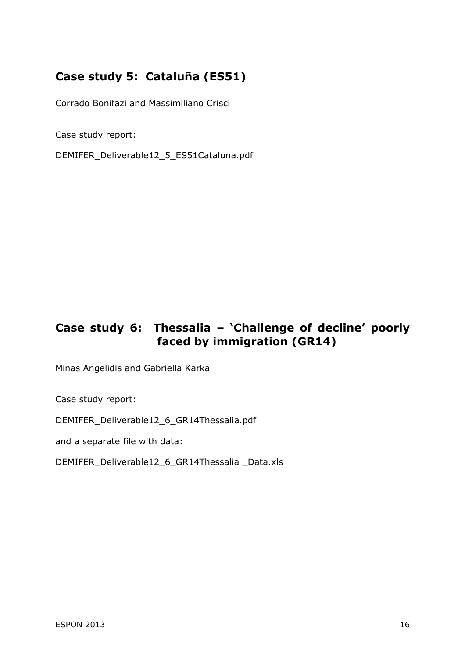## **Case study 5: Cataluña (ES51)**

Corrado Bonifazi and Massimiliano Crisci

Case study report:

DEMIFER\_Deliverable12\_5\_ES51Cataluna.pdf

## **Case study 6: Thessalia – 'Challenge of decline' poorly faced by immigration (GR14)**

Minas Angelidis and Gabriella Karka

Case study report:

DEMIFER\_Deliverable12\_6\_GR14Thessalia.pdf

and a separate file with data:

DEMIFER\_Deliverable12\_6\_GR14Thessalia \_Data.xls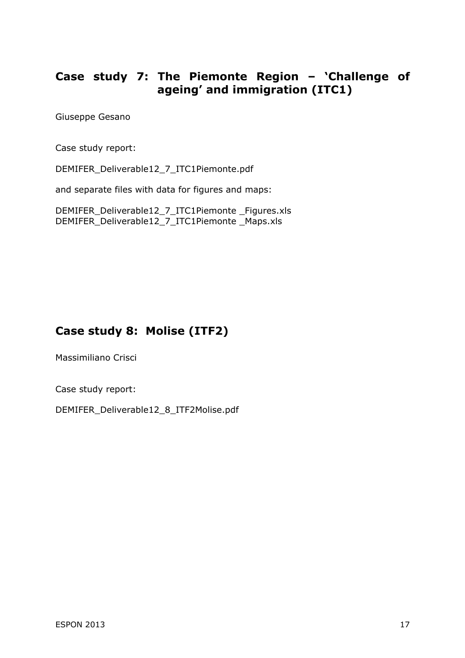## **Case study 7: The Piemonte Region – 'Challenge of ageing' and immigration (ITC1)**

Giuseppe Gesano

Case study report:

DEMIFER\_Deliverable12\_7\_ITC1Piemonte.pdf

and separate files with data for figures and maps:

DEMIFER\_Deliverable12\_7\_ITC1Piemonte \_Figures.xls DEMIFER\_Deliverable12\_7\_ITC1Piemonte \_Maps.xls

## **Case study 8: Molise (ITF2)**

Massimiliano Crisci

Case study report:

DEMIFER\_Deliverable12\_8\_ITF2Molise.pdf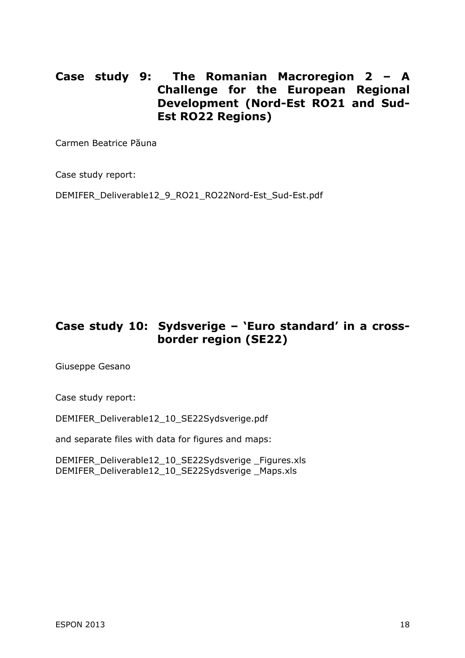## **Case study 9: The Romanian Macroregion 2 – A Challenge for the European Regional Development (Nord-Est RO21 and Sud-Est RO22 Regions)**

Carmen Beatrice Păuna

Case study report:

DEMIFER\_Deliverable12\_9\_RO21\_RO22Nord-Est\_Sud-Est.pdf

## **Case study 10: Sydsverige – 'Euro standard' in a crossborder region (SE22)**

Giuseppe Gesano

Case study report:

DEMIFER\_Deliverable12\_10\_SE22Sydsverige.pdf

and separate files with data for figures and maps:

DEMIFER\_Deliverable12\_10\_SE22Sydsverige \_Figures.xls DEMIFER\_Deliverable12\_10\_SE22Sydsverige \_Maps.xls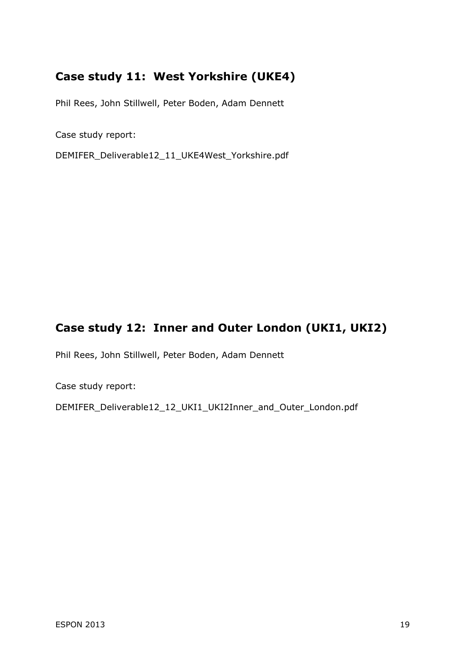## **Case study 11: West Yorkshire (UKE4)**

Phil Rees, John Stillwell, Peter Boden, Adam Dennett

Case study report:

DEMIFER\_Deliverable12\_11\_UKE4West\_Yorkshire.pdf

## **Case study 12: Inner and Outer London (UKI1, UKI2)**

Phil Rees, John Stillwell, Peter Boden, Adam Dennett

Case study report:

DEMIFER\_Deliverable12\_12\_UKI1\_UKI2Inner\_and\_Outer\_London.pdf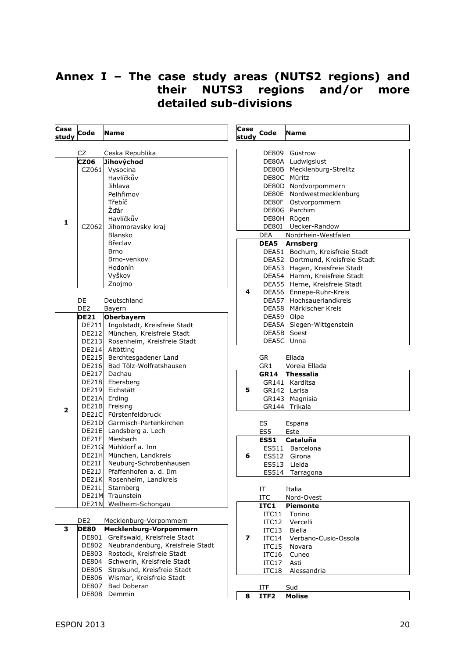## **Annex I – The case study areas (NUTS2 regions) and their NUTS3 regions and/or more detailed sub-divisions**

| Case<br>study           | Code            | <b>Name</b>                                 | Case<br>study | Code           | <b>Name</b>                           |
|-------------------------|-----------------|---------------------------------------------|---------------|----------------|---------------------------------------|
|                         |                 |                                             |               |                |                                       |
|                         | CZ              | Ceska Republika                             |               |                | DE809 Güstrow                         |
|                         | <b>CZ06</b>     | Jihovýchod                                  |               |                | DE80A Ludwigslust                     |
|                         |                 | CZ061 Vysocina                              |               |                | DE80B Mecklenburg-Strelitz            |
|                         |                 | Havlíčkův                                   |               |                | DE80C Müritz<br>DE80D Nordvorpommern  |
|                         |                 | Jihlava<br>Pelhřimov                        |               |                | DE80E Nordwestmecklenburg             |
|                         |                 | Třebíč                                      |               |                | DE80F Ostvorpommern                   |
|                         |                 | Žďár                                        |               |                | DE80G Parchim                         |
|                         |                 | Havlíčkův                                   |               |                | DE80H Rügen                           |
| 1                       |                 | CZ062 Jihomoravsky kraj                     |               |                | DE80I Uecker-Randow                   |
|                         |                 | Blansko                                     |               | <b>DEA</b>     | Nordrhein-Westfalen                   |
|                         |                 | Břeclav                                     |               |                | DEA5 Arnsberg                         |
|                         |                 | <b>Brno</b>                                 |               |                | DEA51 Bochum, Kreisfreie Stadt        |
|                         |                 | Brno-venkov                                 |               |                | DEA52 Dortmund, Kreisfreie Stadt      |
|                         |                 | Hodonín                                     |               |                | DEA53 Hagen, Kreisfreie Stadt         |
|                         |                 | Vyškov                                      |               |                | DEA54 Hamm, Kreisfreie Stadt          |
|                         |                 | Znojmo                                      |               |                | DEA55 Herne, Kreisfreie Stadt         |
|                         |                 |                                             | 4             |                | DEA56 Ennepe-Ruhr-Kreis               |
|                         | DE              | Deutschland                                 |               |                | DEA57 Hochsauerlandkreis              |
|                         | DE <sub>2</sub> | Bayern                                      |               |                | DEA58 Märkischer Kreis                |
|                         | <b>DE21</b>     | Oberbayern                                  |               | DEA59 Olpe     |                                       |
|                         |                 | DE211 Ingolstadt, Kreisfreie Stadt          |               |                | DEA5A Siegen-Wittgenstein             |
|                         |                 | DE212 München, Kreisfreie Stadt             |               |                | DEA5B Soest                           |
|                         |                 | DE213 Rosenheim, Kreisfreie Stadt           |               | DEA5C Unna     |                                       |
|                         |                 | DE214 Altötting                             |               |                |                                       |
|                         |                 | DE215 Berchtesgadener Land                  |               | <b>GR</b>      | Ellada                                |
|                         |                 | DE216 Bad Tölz-Wolfratshausen               |               | GR1            | Voreia Ellada                         |
|                         |                 | DE217 Dachau                                |               |                | <b>GR14 Thessalia</b>                 |
|                         |                 | DE218 Ebersberg<br>DE219 Eichstätt          | 5             |                | GR141 Karditsa<br>GR142 Larisa        |
|                         |                 | DE21A Erding                                |               |                | GR143 Magnisia                        |
|                         |                 | DE21B Freising                              |               |                | GR144 Trikala                         |
| $\overline{\mathbf{2}}$ |                 | DE21C Fürstenfeldbruck                      |               |                |                                       |
|                         |                 | DE21D Garmisch-Partenkirchen                |               | ES             | Espana                                |
|                         |                 | DE21E Landsberg a. Lech                     |               | ES5            | Este                                  |
|                         |                 | DE21F Miesbach                              |               | <b>ES51</b>    | Cataluña                              |
|                         |                 | DE21G Mühldorf a. Inn                       |               |                | ES511 Barcelona                       |
|                         |                 | DE21H München, Landkreis                    | 6             |                | ES512 Girona                          |
|                         |                 | DE21I Neuburg-Schrobenhausen                |               |                | ES513 Lleida                          |
|                         |                 | DE21J   Pfaffenhofen a. d. Ilm              |               |                | ES514 Tarragona                       |
|                         |                 | DE21K Rosenheim, Landkreis                  |               |                |                                       |
|                         | DE21L           | Starnberg                                   |               | IT             | Italia                                |
|                         |                 | DE21M Traunstein<br>DE21N Weilheim-Schongau |               | <b>ITC</b>     | Nord-Ovest                            |
|                         |                 |                                             |               | ITC1           | <b>Piemonte</b>                       |
|                         | DE <sub>2</sub> | Mecklenburg-Vorpommern                      |               | ITC11          | Torino                                |
| 3                       | <b>DE80</b>     | Mecklenburg-Vorpommern                      |               | ITC12          | Vercelli                              |
|                         |                 | DE801 Greifswald, Kreisfreie Stadt          | 7             | ITC13<br>ITC14 | <b>Biella</b><br>Verbano-Cusio-Ossola |
|                         |                 | DE802 Neubrandenburg, Kreisfreie Stadt      |               | ITC15          | Novara                                |
|                         |                 | DE803 Rostock, Kreisfreie Stadt             |               | ITC16          | Cuneo                                 |
|                         |                 | DE804 Schwerin, Kreisfreie Stadt            |               | ITC17          | Asti                                  |
|                         |                 | DE805 Stralsund, Kreisfreie Stadt           |               | ITC18          | Alessandria                           |
|                         |                 | DE806 Wismar, Kreisfreie Stadt              |               |                |                                       |
|                         |                 | DE807 Bad Doberan                           |               | ITF            | Sud                                   |

DE808 Demmin

٦